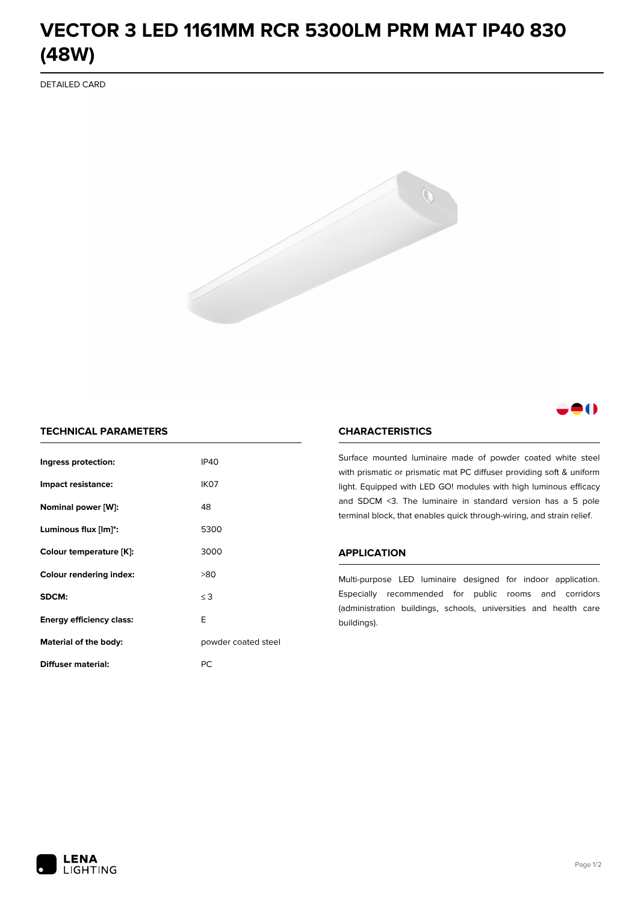# **VECTOR 3 LED 1161MM RCR 5300LM PRM MAT IP40 830 (48W)**

DETAILED CARD



# 80

## **TECHNICAL PARAMETERS**

| Ingress protection:             | <b>IP40</b>         |  |
|---------------------------------|---------------------|--|
| Impact resistance:              | IK <sub>07</sub>    |  |
| Nominal power [W]:              | 48                  |  |
| Luminous flux [lm]*:            | 5300                |  |
| Colour temperature [K]:         | 3000                |  |
| <b>Colour rendering index:</b>  | >80                 |  |
| SDCM:                           | $\leq$ 3            |  |
| <b>Energy efficiency class:</b> | E                   |  |
| Material of the body:           | powder coated steel |  |
| Diffuser material:              | РC                  |  |

### **CHARACTERISTICS**

Surface mounted luminaire made of powder coated white steel with prismatic or prismatic mat PC diffuser providing soft & uniform light. Equipped with LED GO! modules with high luminous efficacy and SDCM <3. The luminaire in standard version has a 5 pole terminal block, that enables quick through-wiring, and strain relief.

#### **APPLICATION**

Multi-purpose LED luminaire designed for indoor application. Especially recommended for public rooms and corridors (administration buildings, schools, universities and health care buildings).